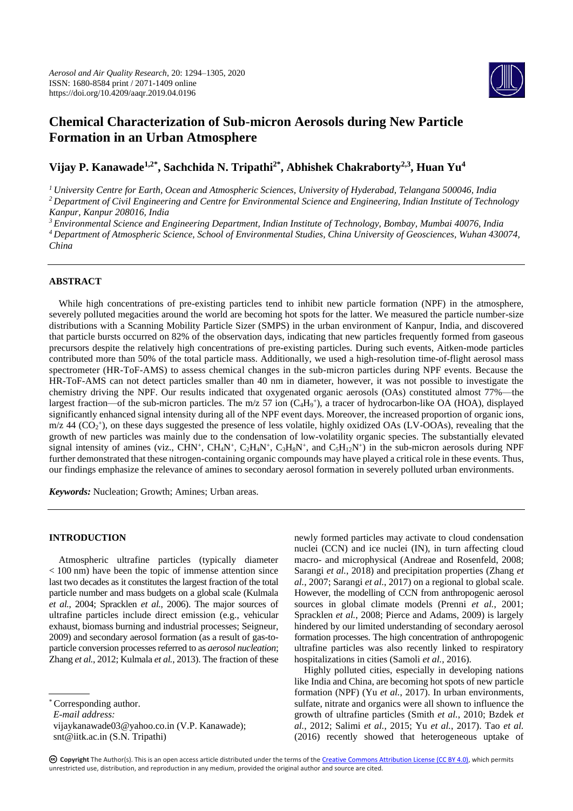

# **Chemical Characterization of Sub**-**micron Aerosols during New Particle Formation in an Urban Atmosphere**

**Vijay P. Kanawade1,2\* , Sachchida N. Tripathi2\* , Abhishek Chakraborty2,3, Huan Yu<sup>4</sup>**

*<sup>1</sup>University Centre for Earth, Ocean and Atmospheric Sciences, University of Hyderabad, Telangana 500046, India <sup>2</sup>Department of Civil Engineering and Centre for Environmental Science and Engineering, Indian Institute of Technology Kanpur, Kanpur 208016, India*

*<sup>3</sup>Environmental Science and Engineering Department, Indian Institute of Technology, Bombay, Mumbai 40076, India*

*<sup>4</sup>Department of Atmospheric Science, School of Environmental Studies, China University of Geosciences, Wuhan 430074, China*

# **ABSTRACT**

While high concentrations of pre-existing particles tend to inhibit new particle formation (NPF) in the atmosphere, severely polluted megacities around the world are becoming hot spots for the latter. We measured the particle number-size distributions with a Scanning Mobility Particle Sizer (SMPS) in the urban environment of Kanpur, India, and discovered that particle bursts occurred on 82% of the observation days, indicating that new particles frequently formed from gaseous precursors despite the relatively high concentrations of pre-existing particles. During such events, Aitken-mode particles contributed more than 50% of the total particle mass. Additionally, we used a high-resolution time-of-flight aerosol mass spectrometer (HR-ToF-AMS) to assess chemical changes in the sub-micron particles during NPF events. Because the HR-ToF-AMS can not detect particles smaller than 40 nm in diameter, however, it was not possible to investigate the chemistry driving the NPF. Our results indicated that oxygenated organic aerosols (OAs) constituted almost 77%—the largest fraction—of the sub-micron particles. The m/z 57 ion (C<sub>4</sub>H<sub>9</sub><sup>+</sup>), a tracer of hydrocarbon-like OA (HOA), displayed significantly enhanced signal intensity during all of the NPF event days. Moreover, the increased proportion of organic ions,  $m/z$  44 ( $CO<sub>2</sub>$ <sup>+</sup>), on these days suggested the presence of less volatile, highly oxidized OAs (LV-OOAs), revealing that the growth of new particles was mainly due to the condensation of low-volatility organic species. The substantially elevated signal intensity of amines (viz., CHN<sup>+</sup>, CH<sub>4</sub>N<sup>+</sup>, C<sub>2</sub>H<sub>4</sub>N<sup>+</sup>, C<sub>3</sub>H<sub>8</sub>N<sup>+</sup>, and C<sub>5</sub>H<sub>12</sub>N<sup>+</sup>) in the sub-micron aerosols during NPF further demonstrated that these nitrogen-containing organic compounds may have played a critical role in these events. Thus, our findings emphasize the relevance of amines to secondary aerosol formation in severely polluted urban environments.

*Keywords:* Nucleation; Growth; Amines; Urban areas.

# **INTRODUCTION**

Atmospheric ultrafine particles (typically diameter < 100 nm) have been the topic of immense attention since last two decades as it constitutes the largest fraction of the total particle number and mass budgets on a global scale (Kulmala *et al.*, 2004; Spracklen *et al.*, 2006). The major sources of ultrafine particles include direct emission (e.g., vehicular exhaust, biomass burning and industrial processes; Seigneur, 2009) and secondary aerosol formation (as a result of gas-toparticle conversion processes referred to as *aerosol nucleation*; Zhang *et al.*, 2012; Kulmala *et al.*, 2013). The fraction of these

*E-mail address:*

newly formed particles may activate to cloud condensation nuclei (CCN) and ice nuclei (IN), in turn affecting cloud macro- and microphysical (Andreae and Rosenfeld, 2008; Sarangi *et al.*, 2018) and precipitation properties (Zhang *et al.*, 2007; Sarangi *et al.*, 2017) on a regional to global scale. However, the modelling of CCN from anthropogenic aerosol sources in global climate models (Prenni *et al.*, 2001; Spracklen *et al.*, 2008; Pierce and Adams, 2009) is largely hindered by our limited understanding of secondary aerosol formation processes. The high concentration of anthropogenic ultrafine particles was also recently linked to respiratory hospitalizations in cities (Samoli *et al.*, 2016).

Highly polluted cities, especially in developing nations like India and China, are becoming hot spots of new particle formation (NPF) (Yu *et al.*, 2017). In urban environments, sulfate, nitrate and organics were all shown to influence the growth of ultrafine particles (Smith *et al.*, 2010; Bzdek *et al.*, 2012; Salimi *et al.*, 2015; Yu *et al.*, 2017). Tao *et al.* (2016) recently showed that heterogeneous uptake of

<sup>\*</sup> Corresponding author.

vijaykanawade03@yahoo.co.in (V.P. Kanawade); snt@iitk.ac.in (S.N. Tripathi)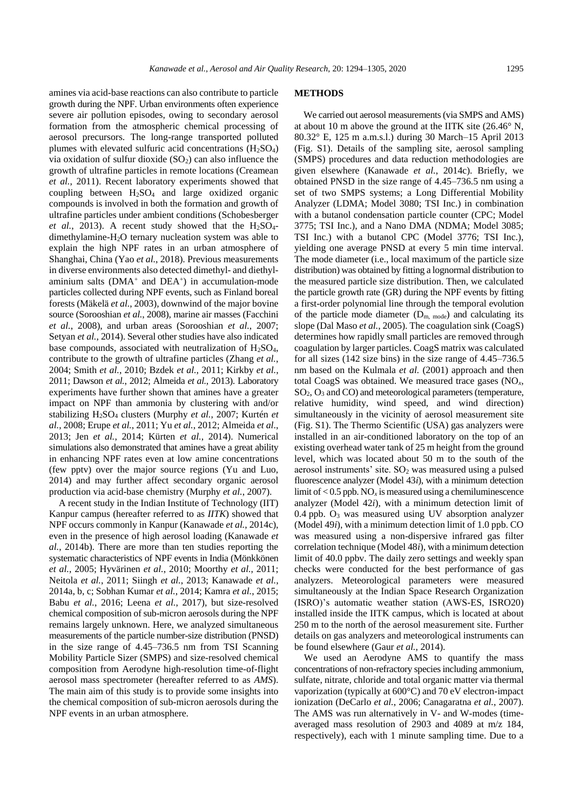amines via acid-base reactions can also contribute to particle growth during the NPF. Urban environments often experience severe air pollution episodes, owing to secondary aerosol formation from the atmospheric chemical processing of aerosol precursors. The long-range transported polluted plumes with elevated sulfuric acid concentrations  $(H<sub>2</sub>SO<sub>4</sub>)$ via oxidation of sulfur dioxide  $(SO<sub>2</sub>)$  can also influence the growth of ultrafine particles in remote locations (Creamean *et al.*, 2011). Recent laboratory experiments showed that coupling between H2SO<sup>4</sup> and large oxidized organic compounds is involved in both the formation and growth of ultrafine particles under ambient conditions (Schobesberger *et al.*, 2013). A recent study showed that the  $H_2SO_4$ dimethylamine-H2O ternary nucleation system was able to explain the high NPF rates in an urban atmosphere of Shanghai, China (Yao *et al.*, 2018). Previous measurements in diverse environments also detected dimethyl- and diethylaminium salts  $(DMA<sup>+</sup>$  and  $DEA<sup>+</sup>$ ) in accumulation-mode particles collected during NPF events, such as Finland boreal forests (Mäkelä *et al.*, 2003), downwind of the major bovine source (Sorooshian *et al.*, 2008), marine air masses (Facchini *et al.*, 2008), and urban areas (Sorooshian *et al.*, 2007; Setyan *et al.*, 2014). Several other studies have also indicated base compounds, associated with neutralization of  $H_2SO_4$ , contribute to the growth of ultrafine particles (Zhang *et al.*, 2004; Smith *et al.*, 2010; Bzdek *et al.*, 2011; Kirkby *et al.*, 2011; Dawson *et al.*, 2012; Almeida *et al.*, 2013). Laboratory experiments have further shown that amines have a greater impact on NPF than ammonia by clustering with and/or stabilizing H2SO<sup>4</sup> clusters (Murphy *et al.*, 2007; Kurtén *et al.*, 2008; Erupe *et al.*, 2011; Yu *et al.*, 2012; Almeida *et al*., 2013; Jen *et al.*, 2014; Kürten *et al.*, 2014). Numerical simulations also demonstrated that amines have a great ability in enhancing NPF rates even at low amine concentrations (few pptv) over the major source regions (Yu and Luo, 2014) and may further affect secondary organic aerosol production via acid-base chemistry (Murphy *et al.*, 2007).

A recent study in the Indian Institute of Technology (IIT) Kanpur campus (hereafter referred to as *IITK*) showed that NPF occurs commonly in Kanpur (Kanawade *et al.*, 2014c), even in the presence of high aerosol loading (Kanawade *et al.*, 2014b). There are more than ten studies reporting the systematic characteristics of NPF events in India (Mönkkönen *et al.*, 2005; Hyvärinen *et al.*, 2010; Moorthy *et al.*, 2011; Neitola *et al.*, 2011; Siingh *et al.*, 2013; Kanawade *et al.*, 2014a, b, c; Sobhan Kumar *et al.*, 2014; Kamra *et al.*, 2015; Babu *et al.*, 2016; Leena *et al.*, 2017), but size-resolved chemical composition of sub-micron aerosols during the NPF remains largely unknown. Here, we analyzed simultaneous measurements of the particle number-size distribution (PNSD) in the size range of 4.45–736.5 nm from TSI Scanning Mobility Particle Sizer (SMPS) and size-resolved chemical composition from Aerodyne high-resolution time-of-flight aerosol mass spectrometer (hereafter referred to as *AMS*). The main aim of this study is to provide some insights into the chemical composition of sub-micron aerosols during the NPF events in an urban atmosphere.

#### **METHODS**

We carried out aerosol measurements (via SMPS and AMS) at about 10 m above the ground at the IITK site (26.46° N, 80.32° E, 125 m a.m.s.l.) during 30 March–15 April 2013 (Fig. S1). Details of the sampling site, aerosol sampling (SMPS) procedures and data reduction methodologies are given elsewhere (Kanawade *et al.*, 2014c). Briefly, we obtained PNSD in the size range of 4.45–736.5 nm using a set of two SMPS systems; a Long Differential Mobility Analyzer (LDMA; Model 3080; TSI Inc.) in combination with a butanol condensation particle counter (CPC; Model 3775; TSI Inc.), and a Nano DMA (NDMA; Model 3085; TSI Inc.) with a butanol CPC (Model 3776; TSI Inc.), yielding one average PNSD at every 5 min time interval. The mode diameter (i.e., local maximum of the particle size distribution) was obtained by fitting a lognormal distribution to the measured particle size distribution. Then, we calculated the particle growth rate (GR) during the NPF events by fitting a first-order polynomial line through the temporal evolution of the particle mode diameter  $(D_{m, mode})$  and calculating its slope (Dal Maso *et al.*, 2005). The coagulation sink (CoagS) determines how rapidly small particles are removed through coagulation by larger particles. CoagS matrix was calculated for all sizes (142 size bins) in the size range of 4.45–736.5 nm based on the Kulmala *et al.* (2001) approach and then total CoagS was obtained. We measured trace gases (NO*x*, SO2, O<sup>3</sup> and CO) and meteorological parameters (temperature, relative humidity, wind speed, and wind direction) simultaneously in the vicinity of aerosol measurement site (Fig. S1). The Thermo Scientific (USA) gas analyzers were installed in an air-conditioned laboratory on the top of an existing overhead water tank of 25 m height from the ground level, which was located about 50 m to the south of the aerosol instruments' site.  $SO<sub>2</sub>$  was measured using a pulsed fluorescence analyzer (Model 43*i*), with a minimum detection limit of  $< 0.5$  ppb. NO<sub>x</sub> is measured using a chemiluminescence analyzer (Model 42*i*), with a minimum detection limit of 0.4 ppb.  $O_3$  was measured using UV absorption analyzer (Model 49*i*), with a minimum detection limit of 1.0 ppb. CO was measured using a non-dispersive infrared gas filter correlation technique (Model 48*i*), with a minimum detection limit of 40.0 ppbv. The daily zero settings and weekly span checks were conducted for the best performance of gas analyzers. Meteorological parameters were measured simultaneously at the Indian Space Research Organization (ISRO)'s automatic weather station (AWS-ES, ISRO20) installed inside the IITK campus, which is located at about 250 m to the north of the aerosol measurement site. Further details on gas analyzers and meteorological instruments can be found elsewhere (Gaur *et al.*, 2014).

We used an Aerodyne AMS to quantify the mass concentrations of non-refractory species including ammonium, sulfate, nitrate, chloride and total organic matter via thermal vaporization (typically at 600°C) and 70 eV electron-impact ionization (DeCarlo *et al.*, 2006; Canagaratna *et al.*, 2007). The AMS was run alternatively in V- and W-modes (timeaveraged mass resolution of 2903 and 4089 at m/z 184, respectively), each with 1 minute sampling time. Due to a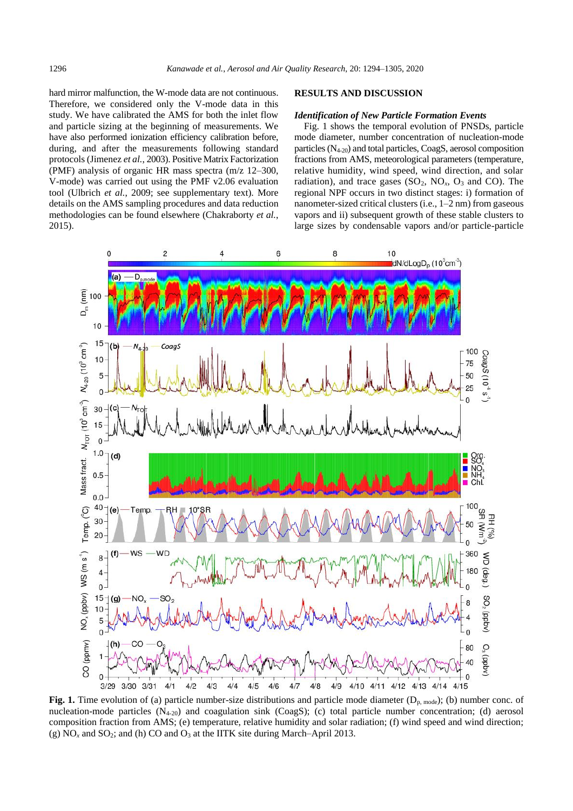hard mirror malfunction, the W-mode data are not continuous. Therefore, we considered only the V-mode data in this study. We have calibrated the AMS for both the inlet flow and particle sizing at the beginning of measurements. We have also performed ionization efficiency calibration before, during, and after the measurements following standard protocols (Jimenez *et al.*, 2003). Positive Matrix Factorization (PMF) analysis of organic HR mass spectra (m/z 12–300, V-mode) was carried out using the PMF v2.06 evaluation tool (Ulbrich *et al.*, 2009; see supplementary text). More details on the AMS sampling procedures and data reduction methodologies can be found elsewhere (Chakraborty *et al.*, 2015).

## **RESULTS AND DISCUSSION**

#### *Identification of New Particle Formation Events*

Fig. 1 shows the temporal evolution of PNSDs, particle mode diameter, number concentration of nucleation-mode particles  $(N_{4-20})$  and total particles, CoagS, aerosol composition fractions from AMS, meteorological parameters (temperature, relative humidity, wind speed, wind direction, and solar radiation), and trace gases  $(SO_2, NO_x, O_3$  and CO). The regional NPF occurs in two distinct stages: i) formation of nanometer-sized critical clusters (i.e., 1–2 nm) from gaseous vapors and ii) subsequent growth of these stable clusters to large sizes by condensable vapors and/or particle-particle



Fig. 1. Time evolution of (a) particle number-size distributions and particle mode diameter  $(D_{p,\text{mode}})$ ; (b) number conc. of nucleation-mode particles  $(N_{4-20})$  and coagulation sink  $(CoagS)$ ; (c) total particle number concentration; (d) aerosol composition fraction from AMS; (e) temperature, relative humidity and solar radiation; (f) wind speed and wind direction; (g)  $NO<sub>x</sub>$  and  $SO<sub>2</sub>$ ; and (h)  $CO$  and  $O<sub>3</sub>$  at the IITK site during March–April 2013.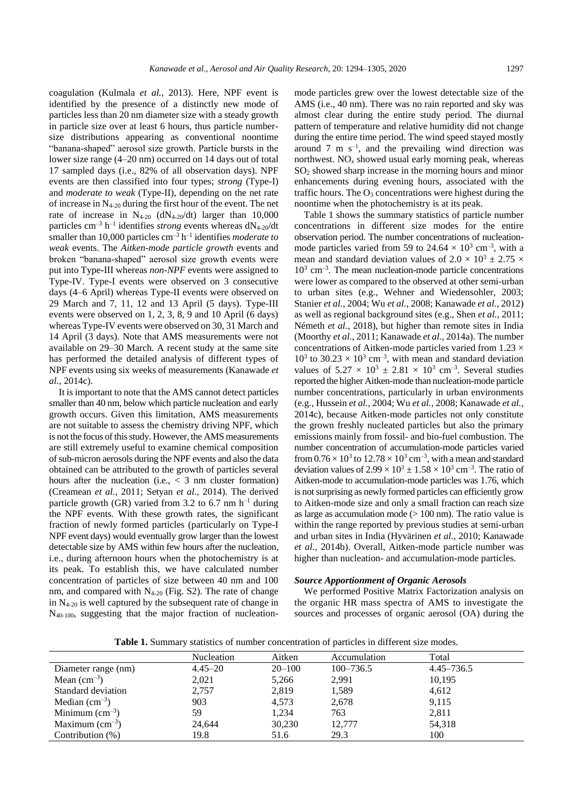coagulation (Kulmala *et al.*, 2013). Here, NPF event is identified by the presence of a distinctly new mode of particles less than 20 nm diameter size with a steady growth in particle size over at least 6 hours, thus particle numbersize distributions appearing as conventional noontime "banana-shaped" aerosol size growth. Particle bursts in the lower size range (4–20 nm) occurred on 14 days out of total 17 sampled days (i.e., 82% of all observation days). NPF events are then classified into four types; *strong* (Type-I) and *moderate to weak* (Type-II), depending on the net rate of increase in  $N_{4-20}$  during the first hour of the event. The net rate of increase in  $N_{4-20}$  (dN<sub>4-20</sub>/dt) larger than 10,000 particles  $\text{cm}^{-3}$  h<sup>-1</sup> identifies *strong* events whereas  $dN_{4-20}/dt$ smaller than 10,000 particles cm<sup>-3</sup> h<sup>-1</sup> identifies *moderate to weak* events. The *Aitken-mode particle growth* events and broken "banana-shaped" aerosol size growth events were put into Type-III whereas *non-NPF* events were assigned to Type-IV. Type-I events were observed on 3 consecutive days (4–6 April) whereas Type-II events were observed on 29 March and 7, 11, 12 and 13 April (5 days). Type-III events were observed on 1, 2, 3, 8, 9 and 10 April (6 days) whereas Type-IV events were observed on 30, 31 March and 14 April (3 days). Note that AMS measurements were not available on 29–30 March. A recent study at the same site has performed the detailed analysis of different types of NPF events using six weeks of measurements (Kanawade *et al.*, 2014c).

It is important to note that the AMS cannot detect particles smaller than 40 nm, below which particle nucleation and early growth occurs. Given this limitation, AMS measurements are not suitable to assess the chemistry driving NPF, which is not the focus of this study. However, the AMS measurements are still extremely useful to examine chemical composition of sub-micron aerosols during the NPF events and also the data obtained can be attributed to the growth of particles several hours after the nucleation (i.e.,  $\langle 3 \rangle$  nm cluster formation) (Creamean *et al.*, 2011; Setyan *et al.*, 2014). The derived particle growth (GR) varied from 3.2 to 6.7 nm  $h^{-1}$  during the NPF events. With these growth rates, the significant fraction of newly formed particles (particularly on Type-I NPF event days) would eventually grow larger than the lowest detectable size by AMS within few hours after the nucleation, i.e., during afternoon hours when the photochemistry is at its peak. To establish this, we have calculated number concentration of particles of size between 40 nm and 100 nm, and compared with  $N_{4-20}$  (Fig. S2). The rate of change in N4-20 is well captured by the subsequent rate of change in  $N_{40-100}$ , suggesting that the major fraction of nucleationmode particles grew over the lowest detectable size of the AMS (i.e., 40 nm). There was no rain reported and sky was almost clear during the entire study period. The diurnal pattern of temperature and relative humidity did not change during the entire time period. The wind speed stayed mostly around  $7 \text{ m s}^{-1}$ , and the prevailing wind direction was northwest. NO*<sup>x</sup>* showed usual early morning peak, whereas SO<sup>2</sup> showed sharp increase in the morning hours and minor enhancements during evening hours, associated with the traffic hours. The  $O_3$  concentrations were highest during the noontime when the photochemistry is at its peak.

Table 1 shows the summary statistics of particle number concentrations in different size modes for the entire observation period. The number concentrations of nucleationmode particles varied from 59 to  $24.64 \times 10^3$  cm<sup>-3</sup>, with a mean and standard deviation values of  $2.0 \times 10^3 \pm 2.75 \times$ 10<sup>3</sup> cm–3 . The mean nucleation-mode particle concentrations were lower as compared to the observed at other semi-urban to urban sites (e.g., Wehner and Wiedensohler, 2003; Stanier *et al.*, 2004; Wu *et al.*, 2008; Kanawade *et al.*, 2012) as well as regional background sites (e.g., Shen *et al.*, 2011; Németh *et al.*, 2018), but higher than remote sites in India (Moorthy *et al.*, 2011; Kanawade *et al.*, 2014a). The number concentrations of Aitken-mode particles varied from 1.23  $\times$  $10^3$  to  $30.23 \times 10^3$  cm<sup>-3</sup>, with mean and standard deviation values of  $5.27 \times 10^3 \pm 2.81 \times 10^3$  cm<sup>-3</sup>. Several studies reported the higher Aitken-mode than nucleation-mode particle number concentrations, particularly in urban environments (e.g., Hussein *et al.*, 2004; Wu *et al.*, 2008; Kanawade *et al.*, 2014c), because Aitken-mode particles not only constitute the grown freshly nucleated particles but also the primary emissions mainly from fossil- and bio-fuel combustion. The number concentration of accumulation-mode particles varied from  $0.76 \times 10^3$  to  $12.78 \times 10^3$  cm<sup>-3</sup>, with a mean and standard deviation values of  $2.99 \times 10^3 \pm 1.58 \times 10^3$  cm<sup>-3</sup>. The ratio of Aitken-mode to accumulation-mode particles was 1.76, which is not surprising as newly formed particles can efficiently grow to Aitken-mode size and only a small fraction can reach size as large as accumulation mode (> 100 nm). The ratio value is within the range reported by previous studies at semi-urban and urban sites in India (Hyvärinen *et al.*, 2010; Kanawade *et al.*, 2014b). Overall, Aitken-mode particle number was higher than nucleation- and accumulation-mode particles.

#### *Source Apportionment of Organic Aerosols*

We performed Positive Matrix Factorization analysis on the organic HR mass spectra of AMS to investigate the sources and processes of organic aerosol (OA) during the

**Table 1.** Summary statistics of number concentration of particles in different size modes.

|                            | Nucleation  | Aitken     | Accumulation  | Total          |
|----------------------------|-------------|------------|---------------|----------------|
| Diameter range (nm)        | $4.45 - 20$ | $20 - 100$ | $100 - 736.5$ | $4.45 - 736.5$ |
| Mean $\text{(cm}^{-3})$    | 2,021       | 5,266      | 2,991         | 10,195         |
| Standard deviation         | 2,757       | 2,819      | 1,589         | 4,612          |
| Median $(cm^{-3})$         | 903         | 4,573      | 2,678         | 9,115          |
| Minimum $\text{(cm}^{-3})$ | 59          | 1,234      | 763           | 2,811          |
| Maximum $\text{(cm}^{-3})$ | 24,644      | 30,230     | 12,777        | 54,318         |
| Contribution $(\%)$        | 19.8        | 51.6       | 29.3          | 100            |
|                            |             |            |               |                |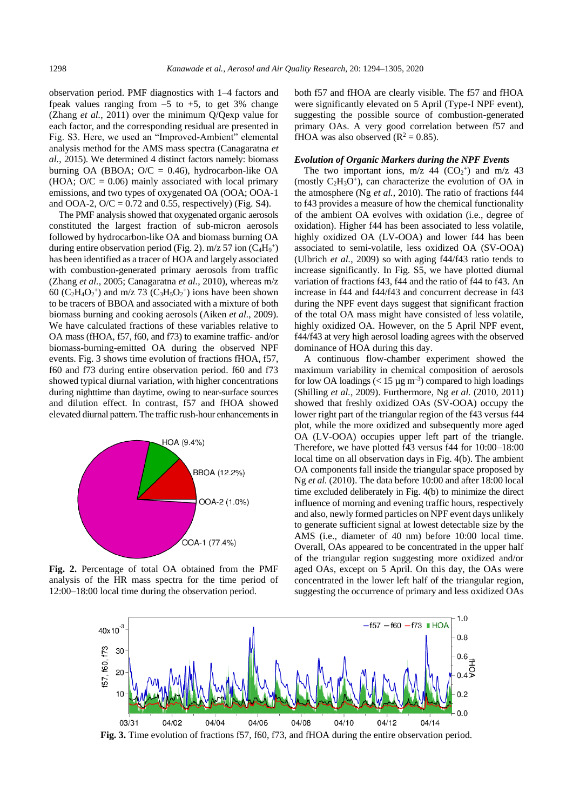observation period. PMF diagnostics with 1–4 factors and fpeak values ranging from  $-5$  to  $+5$ , to get 3% change (Zhang *et al.*, 2011) over the minimum Q/Qexp value for each factor, and the corresponding residual are presented in Fig. S3. Here, we used an "Improved-Ambient" elemental analysis method for the AMS mass spectra (Canagaratna *et al.*, 2015). We determined 4 distinct factors namely: biomass burning OA (BBOA;  $O/C = 0.46$ ), hydrocarbon-like OA (HOA;  $O/C = 0.06$ ) mainly associated with local primary emissions, and two types of oxygenated OA (OOA; OOA-1 and OOA-2,  $O/C = 0.72$  and 0.55, respectively) (Fig. S4).

The PMF analysis showed that oxygenated organic aerosols constituted the largest fraction of sub-micron aerosols followed by hydrocarbon-like OA and biomass burning OA during entire observation period (Fig. 2).  $m/z$  57 ion (C<sub>4</sub>H<sub>9</sub><sup>+</sup>) has been identified as a tracer of HOA and largely associated with combustion-generated primary aerosols from traffic (Zhang *et al.*, 2005; Canagaratna *et al.*, 2010), whereas m/z 60 ( $C_2H_4O_2$ <sup>+</sup>) and m/z 73 ( $C_3H_5O_2$ <sup>+</sup>) ions have been shown to be tracers of BBOA and associated with a mixture of both biomass burning and cooking aerosols (Aiken *et al.*, 2009). We have calculated fractions of these variables relative to OA mass (fHOA, f57, f60, and f73) to examine traffic- and/or biomass-burning-emitted OA during the observed NPF events. Fig. 3 shows time evolution of fractions fHOA, f57, f60 and f73 during entire observation period. f60 and f73 showed typical diurnal variation, with higher concentrations during nighttime than daytime, owing to near-surface sources and dilution effect. In contrast, f57 and fHOA showed elevated diurnal pattern. The traffic rush-hour enhancements in



**Fig. 2.** Percentage of total OA obtained from the PMF analysis of the HR mass spectra for the time period of 12:00–18:00 local time during the observation period.

both f57 and fHOA are clearly visible. The f57 and fHOA were significantly elevated on 5 April (Type-I NPF event), suggesting the possible source of combustion-generated primary OAs. A very good correlation between f57 and fHOA was also observed  $(R^2 = 0.85)$ .

#### *Evolution of Organic Markers during the NPF Events*

The two important ions,  $m/z$  44 (CO<sub>2</sub><sup>+</sup>) and  $m/z$  43 (mostly  $C_2H_3O^+$ ), can characterize the evolution of OA in the atmosphere (Ng *et al.*, 2010). The ratio of fractions f44 to f43 provides a measure of how the chemical functionality of the ambient OA evolves with oxidation (i.e., degree of oxidation). Higher f44 has been associated to less volatile, highly oxidized OA (LV-OOA) and lower f44 has been associated to semi-volatile, less oxidized OA (SV-OOA) (Ulbrich *et al.*, 2009) so with aging f44/f43 ratio tends to increase significantly. In Fig. S5, we have plotted diurnal variation of fractions f43, f44 and the ratio of f44 to f43. An increase in f44 and f44/f43 and concurrent decrease in f43 during the NPF event days suggest that significant fraction of the total OA mass might have consisted of less volatile, highly oxidized OA. However, on the 5 April NPF event, f44/f43 at very high aerosol loading agrees with the observed dominance of HOA during this day.

A continuous flow-chamber experiment showed the maximum variability in chemical composition of aerosols for low OA loadings  $(< 15 \,\mu g \,\text{m}^{-3})$  compared to high loadings (Shilling *et al.*, 2009). Furthermore, Ng *et al.* (2010, 2011) showed that freshly oxidized OAs (SV-OOA) occupy the lower right part of the triangular region of the f43 versus f44 plot, while the more oxidized and subsequently more aged OA (LV-OOA) occupies upper left part of the triangle. Therefore, we have plotted f43 versus f44 for 10:00–18:00 local time on all observation days in Fig. 4(b). The ambient OA components fall inside the triangular space proposed by Ng *et al.* (2010). The data before 10:00 and after 18:00 local time excluded deliberately in Fig. 4(b) to minimize the direct influence of morning and evening traffic hours, respectively and also, newly formed particles on NPF event days unlikely to generate sufficient signal at lowest detectable size by the AMS (i.e., diameter of 40 nm) before 10:00 local time. Overall, OAs appeared to be concentrated in the upper half of the triangular region suggesting more oxidized and/or aged OAs, except on 5 April. On this day, the OAs were concentrated in the lower left half of the triangular region, suggesting the occurrence of primary and less oxidized OAs



**Fig. 3.** Time evolution of fractions f57, f60, f73, and fHOA during the entire observation period.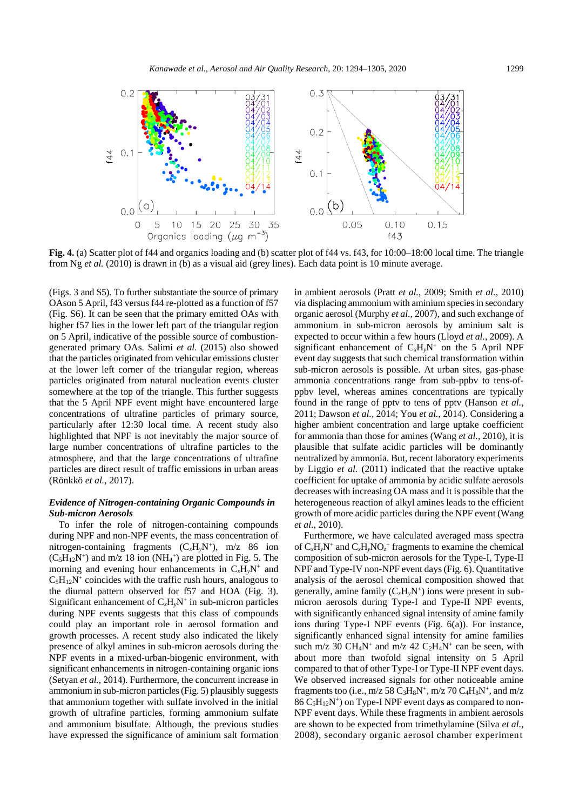



Fig. 4. (a) Scatter plot of f44 and organics loading and (b) scatter plot of f44 vs. f43, for 10:00–18:00 local time. The triangle from Ng *et al.* (2010) is drawn in (b) as a visual aid (grey lines). Each data point is 10 minute average.

(Figs. 3 and S5). To further substantiate the source of primary OAson 5 April, f43 versus f44 re-plotted as a function of f57 (Fig. S6). It can be seen that the primary emitted OAs with higher f57 lies in the lower left part of the triangular region on 5 April, indicative of the possible source of combustiongenerated primary OAs. Salimi *et al.* (2015) also showed that the particles originated from vehicular emissions cluster at the lower left corner of the triangular region, whereas particles originated from natural nucleation events cluster somewhere at the top of the triangle. This further suggests that the 5 April NPF event might have encountered large concentrations of ultrafine particles of primary source, particularly after 12:30 local time. A recent study also highlighted that NPF is not inevitably the major source of large number concentrations of ultrafine particles to the atmosphere, and that the large concentrations of ultrafine particles are direct result of traffic emissions in urban areas (Rönkkö *et al.*, 2017).

## *Evidence of Nitrogen-containing Organic Compounds in Sub-micron Aerosols*

To infer the role of nitrogen-containing compounds during NPF and non-NPF events, the mass concentration of nitrogen-containing fragments (C*x*H*y*N<sup>+</sup> ), m/z 86 ion  $(C_5H_{12}N^+)$  and m/z 18 ion (NH<sub>4</sub><sup>+</sup>) are plotted in Fig. 5. The morning and evening hour enhancements in  $C_xH_yN^+$  and  $C_5H_{12}N^+$  coincides with the traffic rush hours, analogous to the diurnal pattern observed for f57 and HOA (Fig. 3). Significant enhancement of  $C_xH_yN^+$  in sub-micron particles during NPF events suggests that this class of compounds could play an important role in aerosol formation and growth processes. A recent study also indicated the likely presence of alkyl amines in sub-micron aerosols during the NPF events in a mixed-urban-biogenic environment, with significant enhancements in nitrogen-containing organic ions (Setyan *et al.*, 2014). Furthermore, the concurrent increase in ammonium in sub-micron particles (Fig. 5) plausibly suggests that ammonium together with sulfate involved in the initial growth of ultrafine particles, forming ammonium sulfate and ammonium bisulfate. Although, the previous studies have expressed the significance of aminium salt formation

in ambient aerosols (Pratt *et al.*, 2009; Smith *et al.*, 2010) via displacing ammonium with aminium species in secondary organic aerosol (Murphy *et al.*, 2007), and such exchange of ammonium in sub-micron aerosols by aminium salt is expected to occur within a few hours (Lloyd *et al.*, 2009). A significant enhancement of  $C_xH_vN^+$  on the 5 April NPF event day suggests that such chemical transformation within sub-micron aerosols is possible. At urban sites, gas-phase ammonia concentrations range from sub-ppbv to tens-ofppbv level, whereas amines concentrations are typically found in the range of pptv to tens of pptv (Hanson *et al.*, 2011; Dawson *et al.*, 2014; You *et al.*, 2014). Considering a higher ambient concentration and large uptake coefficient for ammonia than those for amines (Wang *et al.*, 2010), it is plausible that sulfate acidic particles will be dominantly neutralized by ammonia. But, recent laboratory experiments by Liggio *et al.* (2011) indicated that the reactive uptake coefficient for uptake of ammonia by acidic sulfate aerosols decreases with increasing OA mass and it is possible that the heterogeneous reaction of alkyl amines leads to the efficient growth of more acidic particles during the NPF event (Wang *et al.*, 2010).

Furthermore, we have calculated averaged mass spectra of  $C_xH_yN^+$  and  $C_xH_yNO_z^+$  fragments to examine the chemical composition of sub-micron aerosols for the Type-I, Type-II NPF and Type-IV non-NPF event days (Fig. 6). Quantitative analysis of the aerosol chemical composition showed that generally, amine family (C*x*H*y*N<sup>+</sup> ) ions were present in submicron aerosols during Type-I and Type-II NPF events, with significantly enhanced signal intensity of amine family ions during Type-I NPF events (Fig. 6(a)). For instance, significantly enhanced signal intensity for amine families such m/z 30 CH<sub>4</sub>N<sup>+</sup> and m/z 42 C<sub>2</sub>H<sub>4</sub>N<sup>+</sup> can be seen, with about more than twofold signal intensity on 5 April compared to that of other Type-I or Type-II NPF event days. We observed increased signals for other noticeable amine fragments too (i.e.,  $m/z$  58  $C_3H_8N^+$ ,  $m/z$  70  $C_4H_8N^+$ , and  $m/z$  $86 \text{ C}_5\text{H}_{12}\text{N}^+$ ) on Type-I NPF event days as compared to non-NPF event days. While these fragments in ambient aerosols are shown to be expected from trimethylamine (Silva *et al.*, 2008), secondary organic aerosol chamber experiment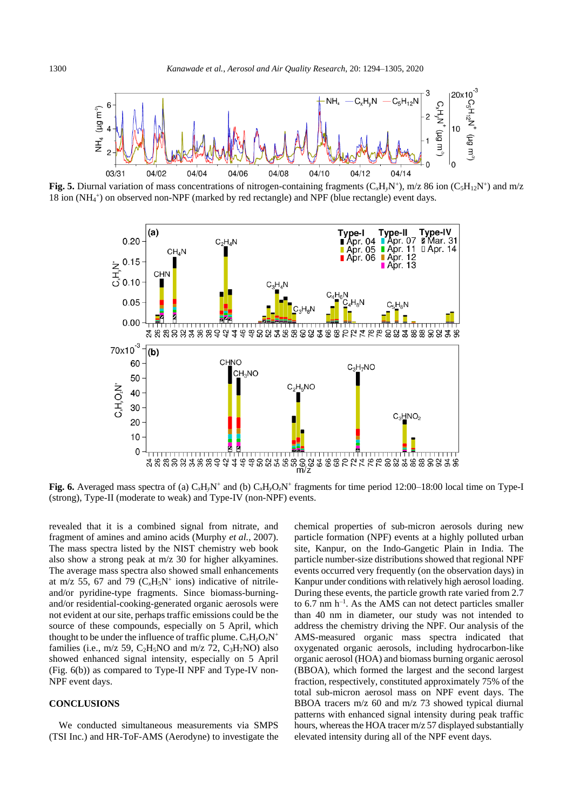

Fig. 5. Diurnal variation of mass concentrations of nitrogen-containing fragments  $(C_xH_yN^+)$ , m/z 86 ion  $(C_5H_{12}N^+)$  and m/z 18 ion (NH<sub>4</sub>+) on observed non-NPF (marked by red rectangle) and NPF (blue rectangle) event days.



**Fig. 6.** Averaged mass spectra of (a)  $C_xH_yN^+$  and (b)  $C_xH_yO_zN^+$  fragments for time period 12:00–18:00 local time on Type-I (strong), Type-II (moderate to weak) and Type-IV (non-NPF) events.

revealed that it is a combined signal from nitrate, and fragment of amines and amino acids (Murphy *et al.*, 2007). The mass spectra listed by the NIST chemistry web book also show a strong peak at m/z 30 for higher alkyamines. The average mass spectra also showed small enhancements at m/z 55, 67 and 79  $(C_xH_5N^+$  ions) indicative of nitrileand/or pyridine-type fragments. Since biomass-burningand/or residential-cooking-generated organic aerosols were not evident at our site, perhaps traffic emissions could be the source of these compounds, especially on 5 April, which thought to be under the influence of traffic plume.  $C_xH_yO_zN^+$ families (i.e.,  $m/z$  59,  $C<sub>2</sub>H<sub>5</sub>NO$  and  $m/z$  72,  $C<sub>3</sub>H<sub>7</sub>NO$ ) also showed enhanced signal intensity, especially on 5 April (Fig. 6(b)) as compared to Type-II NPF and Type-IV non-NPF event days.

# **CONCLUSIONS**

We conducted simultaneous measurements via SMPS (TSI Inc.) and HR-ToF-AMS (Aerodyne) to investigate the chemical properties of sub-micron aerosols during new particle formation (NPF) events at a highly polluted urban site, Kanpur, on the Indo-Gangetic Plain in India. The particle number-size distributions showed that regional NPF events occurred very frequently (on the observation days) in Kanpur under conditions with relatively high aerosol loading. During these events, the particle growth rate varied from 2.7 to  $6.7$  nm  $h^{-1}$ . As the AMS can not detect particles smaller than 40 nm in diameter, our study was not intended to address the chemistry driving the NPF. Our analysis of the AMS-measured organic mass spectra indicated that oxygenated organic aerosols, including hydrocarbon-like organic aerosol (HOA) and biomass burning organic aerosol (BBOA), which formed the largest and the second largest fraction, respectively, constituted approximately 75% of the total sub-micron aerosol mass on NPF event days. The BBOA tracers m/z 60 and m/z 73 showed typical diurnal patterns with enhanced signal intensity during peak traffic hours, whereas the HOA tracer m/z 57 displayed substantially elevated intensity during all of the NPF event days.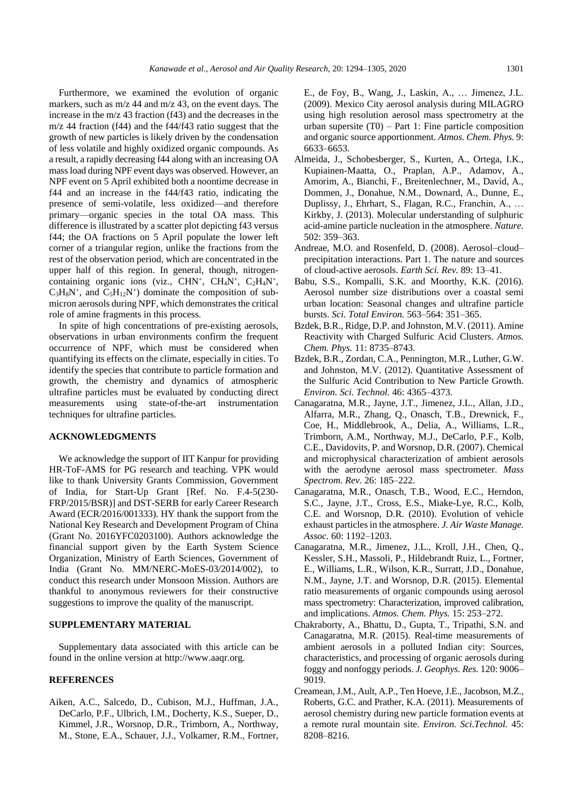Furthermore, we examined the evolution of organic markers, such as m/z 44 and m/z 43, on the event days. The increase in the m/z 43 fraction (f43) and the decreases in the m/z 44 fraction (f44) and the f44/f43 ratio suggest that the growth of new particles is likely driven by the condensation of less volatile and highly oxidized organic compounds. As a result, a rapidly decreasing f44 along with an increasing OA mass load during NPF event days was observed. However, an NPF event on 5 April exhibited both a noontime decrease in f44 and an increase in the f44/f43 ratio, indicating the presence of semi-volatile, less oxidized—and therefore primary—organic species in the total OA mass. This difference is illustrated by a scatter plot depicting f43 versus f44; the OA fractions on 5 April populate the lower left corner of a triangular region, unlike the fractions from the rest of the observation period, which are concentrated in the upper half of this region. In general, though, nitrogencontaining organic ions (viz., CHN<sup>+</sup>, CH<sub>4</sub>N<sup>+</sup>, C<sub>2</sub>H<sub>4</sub>N<sup>+</sup>,  $C_3H_8N^+$ , and  $C_5H_{12}N^+$ ) dominate the composition of submicron aerosols during NPF, which demonstrates the critical role of amine fragments in this process.

In spite of high concentrations of pre-existing aerosols, observations in urban environments confirm the frequent occurrence of NPF, which must be considered when quantifying its effects on the climate, especially in cities. To identify the species that contribute to particle formation and growth, the chemistry and dynamics of atmospheric ultrafine particles must be evaluated by conducting direct measurements using state-of-the-art instrumentation techniques for ultrafine particles.

# **ACKNOWLEDGMENTS**

We acknowledge the support of IIT Kanpur for providing HR-ToF-AMS for PG research and teaching. VPK would like to thank University Grants Commission, Government of India, for Start-Up Grant [Ref. No. F.4-5(230- FRP/2015/BSR)] and DST-SERB for early Career Research Award (ECR/2016/001333)*.* HY thank the support from the National Key Research and Development Program of China (Grant No. 2016YFC0203100). Authors acknowledge the financial support given by the Earth System Science Organization, Ministry of Earth Sciences, Government of India (Grant No. MM/NERC-MoES-03/2014/002), to conduct this research under Monsoon Mission. Authors are thankful to anonymous reviewers for their constructive suggestions to improve the quality of the manuscript.

## **SUPPLEMENTARY MATERIAL**

Supplementary data associated with this article can be found in the online version at http://www.aaqr.org.

# **REFERENCES**

Aiken, A.C., Salcedo, D., Cubison, M.J., Huffman, J.A., DeCarlo, P.F., Ulbrich, I.M., Docherty, K.S., Sueper, D., Kimmel, J.R., Worsnop, D.R., Trimborn, A., Northway, M., Stone, E.A., Schauer, J.J., Volkamer, R.M., Fortner, E., de Foy, B., Wang, J., Laskin, A., … Jimenez, J.L. (2009). Mexico City aerosol analysis during MILAGRO using high resolution aerosol mass spectrometry at the urban supersite  $(T0)$  – Part 1: Fine particle composition and organic source apportionment. *Atmos. Chem. Phys.* 9: 6633–6653.

- Almeida, J., Schobesberger, S., Kurten, A., Ortega, I.K., Kupiainen-Maatta, O., Praplan, A.P., Adamov, A., Amorim, A., Bianchi, F., Breitenlechner, M., David, A., Dommen, J., Donahue, N.M., Downard, A., Dunne, E., Duplissy, J., Ehrhart, S., Flagan, R.C., Franchin, A., … Kirkby, J. (2013). Molecular understanding of sulphuric acid-amine particle nucleation in the atmosphere. *Nature.* 502: 359–363.
- Andreae, M.O. and Rosenfeld, D. (2008). Aerosol–cloud– precipitation interactions. Part 1. The nature and sources of cloud-active aerosols. *Earth Sci. Rev.* 89: 13–41.
- Babu, S.S., Kompalli, S.K. and Moorthy, K.K. (2016). Aerosol number size distributions over a coastal semi urban location: Seasonal changes and ultrafine particle bursts. *Sci. Total Environ.* 563–564: 351–365.
- Bzdek, B.R., Ridge, D.P. and Johnston, M.V. (2011). Amine Reactivity with Charged Sulfuric Acid Clusters. *Atmos. Chem. Phys.* 11: 8735–8743.
- Bzdek, B.R., Zordan, C.A., Pennington, M.R., Luther, G.W. and Johnston, M.V. (2012). Quantitative Assessment of the Sulfuric Acid Contribution to New Particle Growth. *Environ. Sci. Technol.* 46: 4365–4373.
- Canagaratna, M.R., Jayne, J.T., Jimenez, J.L., Allan, J.D., Alfarra, M.R., Zhang, Q., Onasch, T.B., Drewnick, F., Coe, H., Middlebrook, A., Delia, A., Williams, L.R., Trimborn, A.M., Northway, M.J., DeCarlo, P.F., Kolb, C.E., Davidovits, P. and Worsnop, D.R. (2007). Chemical and microphysical characterization of ambient aerosols with the aerodyne aerosol mass spectrometer. *Mass Spectrom. Rev.* 26: 185–222.
- Canagaratna, M.R., Onasch, T.B., Wood, E.C., Herndon, S.C., Jayne, J.T., Cross, E.S., Miake-Lye, R.C., Kolb, C.E. and Worsnop, D.R. (2010). Evolution of vehicle exhaust particles in the atmosphere. *J. Air Waste Manage. Assoc.* 60: 1192–1203.
- Canagaratna, M.R., Jimenez, J.L., Kroll, J.H., Chen, Q., Kessler, S.H., Massoli, P., Hildebrandt Ruiz, L., Fortner, E., Williams, L.R., Wilson, K.R., Surratt, J.D., Donahue, N.M., Jayne, J.T. and Worsnop, D.R. (2015). Elemental ratio measurements of organic compounds using aerosol mass spectrometry: Characterization, improved calibration, and implications. *Atmos. Chem. Phys.* 15: 253–272.
- Chakraborty, A., Bhattu, D., Gupta, T., Tripathi, S.N. and Canagaratna, M.R. (2015). Real-time measurements of ambient aerosols in a polluted Indian city: Sources, characteristics, and processing of organic aerosols during foggy and nonfoggy periods. *J. Geophys. Res.* 120: 9006– 9019.
- Creamean, J.M., Ault, A.P., Ten Hoeve, J.E., Jacobson, M.Z., Roberts, G.C. and Prather, K.A. (2011). Measurements of aerosol chemistry during new particle formation events at a remote rural mountain site. *Environ. Sci.Technol.* 45: 8208–8216.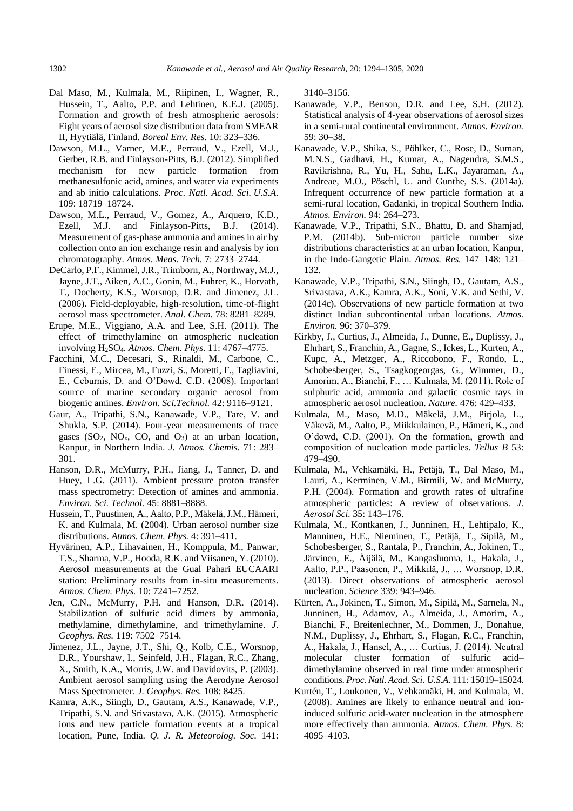- Dal Maso, M., Kulmala, M., Riipinen, I., Wagner, R., Hussein, T., Aalto, P.P. and Lehtinen, K.E.J. (2005). Formation and growth of fresh atmospheric aerosols: Eight years of aerosol size distribution data from SMEAR II, Hyytiälä, Finland. *Boreal Env. Res.* 10: 323–336.
- Dawson, M.L., Varner, M.E., Perraud, V., Ezell, M.J., Gerber, R.B. and Finlayson-Pitts, B.J. (2012). Simplified mechanism for new particle formation from methanesulfonic acid, amines, and water via experiments and ab initio calculations. *Proc. Natl. Acad. Sci. U.S.A.* 109: 18719–18724.
- Dawson, M.L., Perraud, V., Gomez, A., Arquero, K.D., Ezell, M.J. and Finlayson-Pitts, B.J. (2014). Measurement of gas-phase ammonia and amines in air by collection onto an ion exchange resin and analysis by ion chromatography. *Atmos. Meas. Tech.* 7: 2733–2744.
- DeCarlo, P.F., Kimmel, J.R., Trimborn, A., Northway, M.J., Jayne, J.T., Aiken, A.C., Gonin, M., Fuhrer, K., Horvath, T., Docherty, K.S., Worsnop, D.R. and Jimenez, J.L. (2006). Field-deployable, high-resolution, time-of-flight aerosol mass spectrometer. *Anal. Chem.* 78: 8281–8289.
- Erupe, M.E., Viggiano, A.A. and Lee, S.H. (2011). The effect of trimethylamine on atmospheric nucleation involving H2SO4. *Atmos. Chem. Phys.* 11: 4767–4775.
- Facchini, M.C., Decesari, S., Rinaldi, M., Carbone, C., Finessi, E., Mircea, M., Fuzzi, S., Moretti, F., Tagliavini, E., Ceburnis, D. and O'Dowd, C.D. (2008). Important source of marine secondary organic aerosol from biogenic amines. *Environ. Sci.Technol.* 42: 9116–9121.
- Gaur, A., Tripathi, S.N., Kanawade, V.P., Tare, V. and Shukla, S.P. (2014). Four-year measurements of trace gases  $(SO_2, NO_x, CO, and O_3)$  at an urban location, Kanpur, in Northern India. *J. Atmos. Chemis.* 71: 283– 301.
- Hanson, D.R., McMurry, P.H., Jiang, J., Tanner, D. and Huey, L.G. (2011). Ambient pressure proton transfer mass spectrometry: Detection of amines and ammonia. *Environ. Sci. Technol.* 45: 8881–8888.
- Hussein, T., Puustinen, A., Aalto, P.P., Mäkelä, J.M., Hämeri, K. and Kulmala, M. (2004). Urban aerosol number size distributions. *Atmos. Chem. Phys.* 4: 391–411.
- Hyvärinen, A.P., Lihavainen, H., Komppula, M., Panwar, T.S., Sharma, V.P., Hooda, R.K. and Viisanen, Y. (2010). Aerosol measurements at the Gual Pahari EUCAARI station: Preliminary results from in-situ measurements. *Atmos. Chem. Phys.* 10: 7241–7252.
- Jen, C.N., McMurry, P.H. and Hanson, D.R. (2014). Stabilization of sulfuric acid dimers by ammonia, methylamine, dimethylamine, and trimethylamine. *J. Geophys. Res.* 119: 7502–7514.
- Jimenez, J.L., Jayne, J.T., Shi, Q., Kolb, C.E., Worsnop, D.R., Yourshaw, I., Seinfeld, J.H., Flagan, R.C., Zhang, X., Smith, K.A., Morris, J.W. and Davidovits, P. (2003). Ambient aerosol sampling using the Aerodyne Aerosol Mass Spectrometer. *J. Geophys. Res.* 108: 8425.
- Kamra, A.K., Siingh, D., Gautam, A.S., Kanawade, V.P., Tripathi, S.N. and Srivastava, A.K. (2015). Atmospheric ions and new particle formation events at a tropical location, Pune, India. *Q. J. R. Meteorolog. Soc.* 141:

3140–3156.

- Kanawade, V.P., Benson, D.R. and Lee, S.H. (2012). Statistical analysis of 4-year observations of aerosol sizes in a semi-rural continental environment. *Atmos. Environ.* 59: 30–38.
- Kanawade, V.P., Shika, S., Pöhlker, C., Rose, D., Suman, M.N.S., Gadhavi, H., Kumar, A., Nagendra, S.M.S., Ravikrishna, R., Yu, H., Sahu, L.K., Jayaraman, A., Andreae, M.O., Pöschl, U. and Gunthe, S.S. (2014a). Infrequent occurrence of new particle formation at a semi-rural location, Gadanki, in tropical Southern India. *Atmos. Environ.* 94: 264–273.
- Kanawade, V.P., Tripathi, S.N., Bhattu, D. and Shamjad, P.M. (2014b). Sub-micron particle number size distributions characteristics at an urban location, Kanpur, in the Indo-Gangetic Plain. *Atmos. Res.* 147–148: 121– 132.
- Kanawade, V.P., Tripathi, S.N., Siingh, D., Gautam, A.S., Srivastava, A.K., Kamra, A.K., Soni, V.K. and Sethi, V. (2014c). Observations of new particle formation at two distinct Indian subcontinental urban locations. *Atmos. Environ.* 96: 370–379.
- Kirkby, J., Curtius, J., Almeida, J., Dunne, E., Duplissy, J., Ehrhart, S., Franchin, A., Gagne, S., Ickes, L., Kurten, A., Kupc, A., Metzger, A., Riccobono, F., Rondo, L., Schobesberger, S., Tsagkogeorgas, G., Wimmer, D., Amorim, A., Bianchi, F., … Kulmala, M. (2011). Role of sulphuric acid, ammonia and galactic cosmic rays in atmospheric aerosol nucleation. *Nature.* 476: 429–433.
- Kulmala, M., Maso, M.D., Mäkelä, J.M., Pirjola, L., Väkevä, M., Aalto, P., Miikkulainen, P., Hämeri, K., and O'dowd, C.D. (2001). On the formation, growth and composition of nucleation mode particles. *Tellus B* 53: 479–490.
- Kulmala, M., Vehkamäki, H., Petäjä, T., Dal Maso, M., Lauri, A., Kerminen, V.M., Birmili, W. and McMurry, P.H. (2004). Formation and growth rates of ultrafine atmospheric particles: A review of observations. *J. Aerosol Sci.* 35: 143–176.
- Kulmala, M., Kontkanen, J., Junninen, H., Lehtipalo, K., Manninen, H.E., Nieminen, T., Petäjä, T., Sipilä, M., Schobesberger, S., Rantala, P., Franchin, A., Jokinen, T., Järvinen, E., Ä ijälä, M., Kangasluoma, J., Hakala, J., Aalto, P.P., Paasonen, P., Mikkilä, J., … Worsnop, D.R. (2013). Direct observations of atmospheric aerosol nucleation. *Science* 339: 943–946.
- Kürten, A., Jokinen, T., Simon, M., Sipilä, M., Sarnela, N., Junninen, H., Adamov, A., Almeida, J., Amorim, A., Bianchi, F., Breitenlechner, M., Dommen, J., Donahue, N.M., Duplissy, J., Ehrhart, S., Flagan, R.C., Franchin, A., Hakala, J., Hansel, A., … Curtius, J. (2014). Neutral molecular cluster formation of sulfuric acid– dimethylamine observed in real time under atmospheric conditions. *Proc. Natl. Acad. Sci. U.S.A.* 111: 15019–15024.
- Kurtén, T., Loukonen, V., Vehkamäki, H. and Kulmala, M. (2008). Amines are likely to enhance neutral and ioninduced sulfuric acid-water nucleation in the atmosphere more effectively than ammonia. *Atmos. Chem. Phys.* 8: 4095–4103.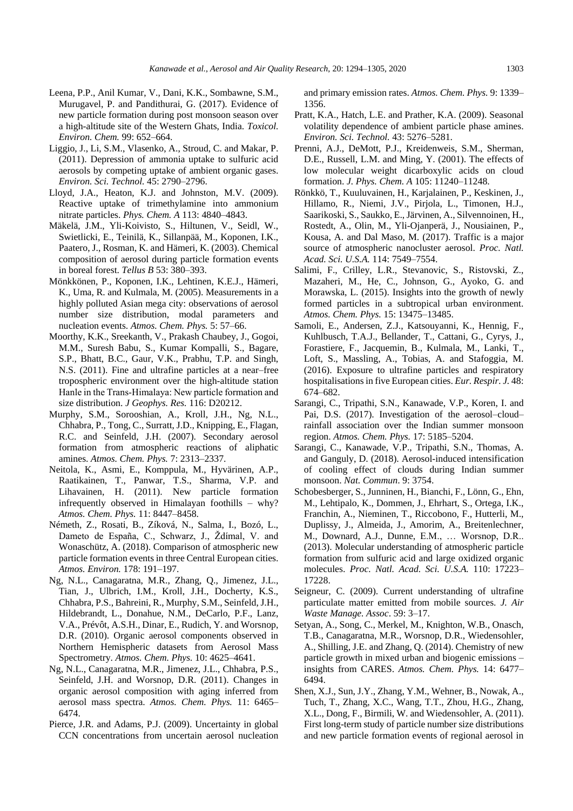- Leena, P.P., Anil Kumar, V., Dani, K.K., Sombawne, S.M., Murugavel, P. and Pandithurai, G. (2017). Evidence of new particle formation during post monsoon season over a high-altitude site of the Western Ghats, India. *Toxicol. Environ. Chem.* 99: 652–664.
- Liggio, J., Li, S.M., Vlasenko, A., Stroud, C. and Makar, P. (2011). Depression of ammonia uptake to sulfuric acid aerosols by competing uptake of ambient organic gases. *Environ. Sci. Technol.* 45: 2790–2796.
- Lloyd, J.A., Heaton, K.J. and Johnston, M.V. (2009). Reactive uptake of trimethylamine into ammonium nitrate particles. *Phys. Chem. A* 113: 4840–4843.
- Mäkelä, J.M., Yli-Koivisto, S., Hiltunen, V., Seidl, W., Swietlicki, E., Teinilä, K., Sillanpää, M., Koponen, I.K., Paatero, J., Rosman, K. and Hämeri, K. (2003). Chemical composition of aerosol during particle formation events in boreal forest. *Tellus B* 53: 380–393.
- Mönkkönen, P., Koponen, I.K., Lehtinen, K.E.J., Hämeri, K., Uma, R. and Kulmala, M. (2005). Measurements in a highly polluted Asian mega city: observations of aerosol number size distribution, modal parameters and nucleation events. *Atmos. Chem. Phys.* 5: 57–66.
- Moorthy, K.K., Sreekanth, V., Prakash Chaubey, J., Gogoi, M.M., Suresh Babu, S., Kumar Kompalli, S., Bagare, S.P., Bhatt, B.C., Gaur, V.K., Prabhu, T.P. and Singh, N.S. (2011). Fine and ultrafine particles at a near–free tropospheric environment over the high-altitude station Hanle in the Trans‐Himalaya: New particle formation and size distribution. *J Geophys. Res.* 116: D20212.
- Murphy, S.M., Sorooshian, A., Kroll, J.H., Ng, N.L., Chhabra, P., Tong, C., Surratt, J.D., Knipping, E., Flagan, R.C. and Seinfeld, J.H. (2007). Secondary aerosol formation from atmospheric reactions of aliphatic amines. *Atmos. Chem. Phys.* 7: 2313–2337.
- Neitola, K., Asmi, E., Komppula, M., Hyvärinen, A.P., Raatikainen, T., Panwar, T.S., Sharma, V.P. and Lihavainen, H. (2011). New particle formation infrequently observed in Himalayan foothills – why? *Atmos. Chem. Phys.* 11: 8447–8458.
- Németh, Z., Rosati, B., Zíková, N., Salma, I., Bozó, L., Dameto de España, C., Schwarz, J., Ždímal, V. and Wonaschütz, A. (2018). Comparison of atmospheric new particle formation events in three Central European cities. *Atmos. Environ.* 178: 191–197.
- Ng, N.L., Canagaratna, M.R., Zhang, Q., Jimenez, J.L., Tian, J., Ulbrich, I.M., Kroll, J.H., Docherty, K.S., Chhabra, P.S., Bahreini, R., Murphy, S.M., Seinfeld, J.H., Hildebrandt, L., Donahue, N.M., DeCarlo, P.F., Lanz, V.A., Prévôt, A.S.H., Dinar, E., Rudich, Y. and Worsnop, D.R. (2010). Organic aerosol components observed in Northern Hemispheric datasets from Aerosol Mass Spectrometry. *Atmos. Chem. Phys.* 10: 4625–4641.
- Ng, N.L., Canagaratna, M.R., Jimenez, J.L., Chhabra, P.S., Seinfeld, J.H. and Worsnop, D.R. (2011). Changes in organic aerosol composition with aging inferred from aerosol mass spectra. *Atmos. Chem. Phys.* 11: 6465– 6474.
- Pierce, J.R. and Adams, P.J. (2009). Uncertainty in global CCN concentrations from uncertain aerosol nucleation

and primary emission rates. *Atmos. Chem. Phys.* 9: 1339– 1356.

- Pratt, K.A., Hatch, L.E. and Prather, K.A. (2009). Seasonal volatility dependence of ambient particle phase amines. *Environ. Sci. Technol.* 43: 5276–5281.
- Prenni, A.J., DeMott, P.J., Kreidenweis, S.M., Sherman, D.E., Russell, L.M. and Ming, Y. (2001). The effects of low molecular weight dicarboxylic acids on cloud formation. *J. Phys. Chem. A* 105: 11240–11248.
- Rönkkö, T., Kuuluvainen, H., Karjalainen, P., Keskinen, J., Hillamo, R., Niemi, J.V., Pirjola, L., Timonen, H.J., Saarikoski, S., Saukko, E., Järvinen, A., Silvennoinen, H., Rostedt, A., Olin, M., Yli-Ojanperä, J., Nousiainen, P., Kousa, A. and Dal Maso, M. (2017). Traffic is a major source of atmospheric nanocluster aerosol. *Proc. Natl. Acad. Sci. U.S.A.* 114: 7549–7554.
- Salimi, F., Crilley, L.R., Stevanovic, S., Ristovski, Z., Mazaheri, M., He, C., Johnson, G., Ayoko, G. and Morawska, L. (2015). Insights into the growth of newly formed particles in a subtropical urban environment. *Atmos. Chem. Phys.* 15: 13475–13485.
- Samoli, E., Andersen, Z.J., Katsouyanni, K., Hennig, F., Kuhlbusch, T.A.J., Bellander, T., Cattani, G., Cyrys, J., Forastiere, F., Jacquemin, B., Kulmala, M., Lanki, T., Loft, S., Massling, A., Tobias, A. and Stafoggia, M. (2016). Exposure to ultrafine particles and respiratory hospitalisations in five European cities. *Eur. Respir. J.* 48: 674–682.
- Sarangi, C., Tripathi, S.N., Kanawade, V.P., Koren, I. and Pai, D.S. (2017). Investigation of the aerosol–cloud– rainfall association over the Indian summer monsoon region. *Atmos. Chem. Phys.* 17: 5185–5204.
- Sarangi, C., Kanawade, V.P., Tripathi, S.N., Thomas, A. and Ganguly, D. (2018). Aerosol-induced intensification of cooling effect of clouds during Indian summer monsoon. *Nat. Commun*. 9: 3754.
- Schobesberger, S., Junninen, H., Bianchi, F., Lönn, G., Ehn, M., Lehtipalo, K., Dommen, J., Ehrhart, S., Ortega, I.K., Franchin, A., Nieminen, T., Riccobono, F., Hutterli, M., Duplissy, J., Almeida, J., Amorim, A., Breitenlechner, M., Downard, A.J., Dunne, E.M., … Worsnop, D.R.. (2013). Molecular understanding of atmospheric particle formation from sulfuric acid and large oxidized organic molecules. *Proc. Natl. Acad. Sci. U.S.A.* 110: 17223– 17228.
- Seigneur, C. (2009). Current understanding of ultrafine particulate matter emitted from mobile sources. *J. Air Waste Manage. Assoc*. 59: 3–17.
- Setyan, A., Song, C., Merkel, M., Knighton, W.B., Onasch, T.B., Canagaratna, M.R., Worsnop, D.R., Wiedensohler, A., Shilling, J.E. and Zhang, Q. (2014). Chemistry of new particle growth in mixed urban and biogenic emissions – insights from CARES. *Atmos. Chem. Phys.* 14: 6477– 6494.
- Shen, X.J., Sun, J.Y., Zhang, Y.M., Wehner, B., Nowak, A., Tuch, T., Zhang, X.C., Wang, T.T., Zhou, H.G., Zhang, X.L., Dong, F., Birmili, W. and Wiedensohler, A. (2011). First long-term study of particle number size distributions and new particle formation events of regional aerosol in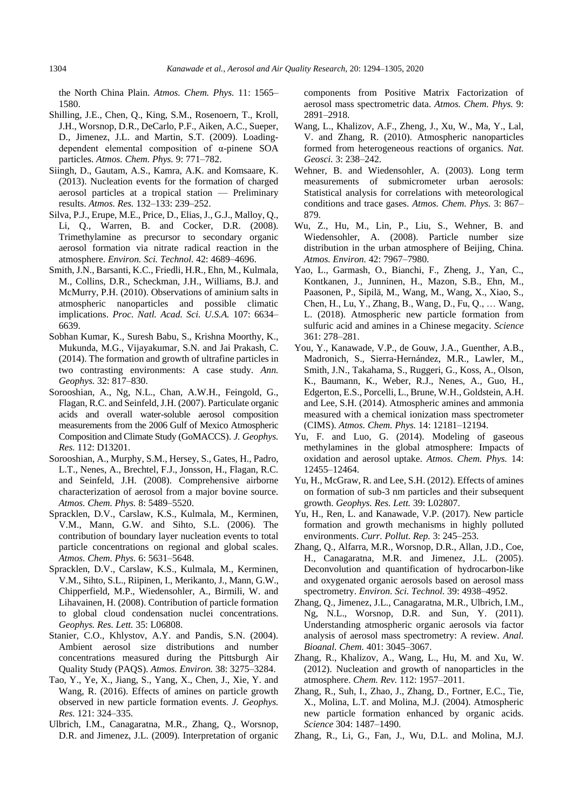the North China Plain. *Atmos. Chem. Phys.* 11: 1565– 1580.

- Shilling, J.E., Chen, Q., King, S.M., Rosenoern, T., Kroll, J.H., Worsnop, D.R., DeCarlo, P.F., Aiken, A.C., Sueper, D., Jimenez, J.L. and Martin, S.T. (2009). Loadingdependent elemental composition of α-pinene SOA particles. *Atmos. Chem. Phys.* 9: 771–782.
- Siingh, D., Gautam, A.S., Kamra, A.K. and Komsaare, K. (2013). Nucleation events for the formation of charged aerosol particles at a tropical station — Preliminary results. *Atmos. Res.* 132–133: 239–252.
- Silva, P.J., Erupe, M.E., Price, D., Elias, J., G.J., Malloy, Q., Li, Q., Warren, B. and Cocker, D.R. (2008). Trimethylamine as precursor to secondary organic aerosol formation via nitrate radical reaction in the atmosphere. *Environ. Sci. Technol.* 42: 4689–4696.
- Smith, J.N., Barsanti, K.C., Friedli, H.R., Ehn, M., Kulmala, M., Collins, D.R., Scheckman, J.H., Williams, B.J. and McMurry, P.H. (2010). Observations of aminium salts in atmospheric nanoparticles and possible climatic implications. *Proc. Natl. Acad. Sci. U.S.A.* 107: 6634– 6639.
- Sobhan Kumar, K., Suresh Babu, S., Krishna Moorthy, K., Mukunda, M.G., Vijayakumar, S.N. and Jai Prakash, C. (2014). The formation and growth of ultrafine particles in two contrasting environments: A case study. *Ann. Geophys.* 32: 817–830.
- Sorooshian, A., Ng, N.L., Chan, A.W.H., Feingold, G., Flagan, R.C. and Seinfeld, J.H. (2007). Particulate organic acids and overall water-soluble aerosol composition measurements from the 2006 Gulf of Mexico Atmospheric Composition and Climate Study (GoMACCS). *J. Geophys. Res.* 112: D13201.
- Sorooshian, A., Murphy, S.M., Hersey, S., Gates, H., Padro, L.T., Nenes, A., Brechtel, F.J., Jonsson, H., Flagan, R.C. and Seinfeld, J.H. (2008). Comprehensive airborne characterization of aerosol from a major bovine source. *Atmos. Chem. Phys.* 8: 5489–5520.
- Spracklen, D.V., Carslaw, K.S., Kulmala, M., Kerminen, V.M., Mann, G.W. and Sihto, S.L. (2006). The contribution of boundary layer nucleation events to total particle concentrations on regional and global scales. *Atmos. Chem. Phys.* 6: 5631–5648.
- Spracklen, D.V., Carslaw, K.S., Kulmala, M., Kerminen, V.M., Sihto, S.L., Riipinen, I., Merikanto, J., Mann, G.W., Chipperfield, M.P., Wiedensohler, A., Birmili, W. and Lihavainen, H. (2008). Contribution of particle formation to global cloud condensation nuclei concentrations. *Geophys. Res. Lett.* 35: L06808.
- Stanier, C.O., Khlystov, A.Y. and Pandis, S.N. (2004). Ambient aerosol size distributions and number concentrations measured during the Pittsburgh Air Quality Study (PAQS). *Atmos. Environ.* 38: 3275–3284.
- Tao, Y., Ye, X., Jiang, S., Yang, X., Chen, J., Xie, Y. and Wang, R. (2016). Effects of amines on particle growth observed in new particle formation events. *J. Geophys. Res.* 121: 324–335.
- Ulbrich, I.M., Canagaratna, M.R., Zhang, Q., Worsnop, D.R. and Jimenez, J.L. (2009). Interpretation of organic

components from Positive Matrix Factorization of aerosol mass spectrometric data. *Atmos. Chem. Phys.* 9: 2891–2918.

- Wang, L., Khalizov, A.F., Zheng, J., Xu, W., Ma, Y., Lal, V. and Zhang, R. (2010). Atmospheric nanoparticles formed from heterogeneous reactions of organics. *Nat. Geosci.* 3: 238–242.
- Wehner, B. and Wiedensohler, A. (2003). Long term measurements of submicrometer urban aerosols: Statistical analysis for correlations with meteorological conditions and trace gases. *Atmos. Chem. Phys.* 3: 867– 879.
- Wu, Z., Hu, M., Lin, P., Liu, S., Wehner, B. and Wiedensohler, A. (2008). Particle number size distribution in the urban atmosphere of Beijing, China. *Atmos. Environ.* 42: 7967–7980.
- Yao, L., Garmash, O., Bianchi, F., Zheng, J., Yan, C., Kontkanen, J., Junninen, H., Mazon, S.B., Ehn, M., Paasonen, P., Sipilä, M., Wang, M., Wang, X., Xiao, S., Chen, H., Lu, Y., Zhang, B., Wang, D., Fu, Q., … Wang, L. (2018). Atmospheric new particle formation from sulfuric acid and amines in a Chinese megacity. *Science* 361: 278–281.
- You, Y., Kanawade, V.P., de Gouw, J.A., Guenther, A.B., Madronich, S., Sierra-Hernández, M.R., Lawler, M., Smith, J.N., Takahama, S., Ruggeri, G., Koss, A., Olson, K., Baumann, K., Weber, R.J., Nenes, A., Guo, H., Edgerton, E.S., Porcelli, L., Brune, W.H., Goldstein, A.H. and Lee, S.H. (2014). Atmospheric amines and ammonia measured with a chemical ionization mass spectrometer (CIMS). *Atmos. Chem. Phys.* 14: 12181–12194.
- Yu, F. and Luo, G. (2014). Modeling of gaseous methylamines in the global atmosphere: Impacts of oxidation and aerosol uptake. *Atmos. Chem. Phys.* 14: 12455–12464.
- Yu, H., McGraw, R. and Lee, S.H. (2012). Effects of amines on formation of sub-3 nm particles and their subsequent growth. *Geophys. Res. Lett.* 39: L02807.
- Yu, H., Ren, L. and Kanawade, V.P. (2017). New particle formation and growth mechanisms in highly polluted environments. *Curr. Pollut. Rep.* 3: 245–253.
- Zhang, Q., Alfarra, M.R., Worsnop, D.R., Allan, J.D., Coe, H., Canagaratna, M.R. and Jimenez, J.L. (2005). Deconvolution and quantification of hydrocarbon-like and oxygenated organic aerosols based on aerosol mass spectrometry. *Environ. Sci. Technol.* 39: 4938–4952.
- Zhang, Q., Jimenez, J.L., Canagaratna, M.R., Ulbrich, I.M., Ng, N.L., Worsnop, D.R. and Sun, Y. (2011). Understanding atmospheric organic aerosols via factor analysis of aerosol mass spectrometry: A review. *Anal. Bioanal. Chem.* 401: 3045–3067.
- Zhang, R., Khalizov, A., Wang, L., Hu, M. and Xu, W. (2012). Nucleation and growth of nanoparticles in the atmosphere. *Chem. Rev.* 112: 1957–2011.
- Zhang, R., Suh, I., Zhao, J., Zhang, D., Fortner, E.C., Tie, X., Molina, L.T. and Molina, M.J. (2004). Atmospheric new particle formation enhanced by organic acids. *Science* 304: 1487–1490.
- Zhang, R., Li, G., Fan, J., Wu, D.L. and Molina, M.J.